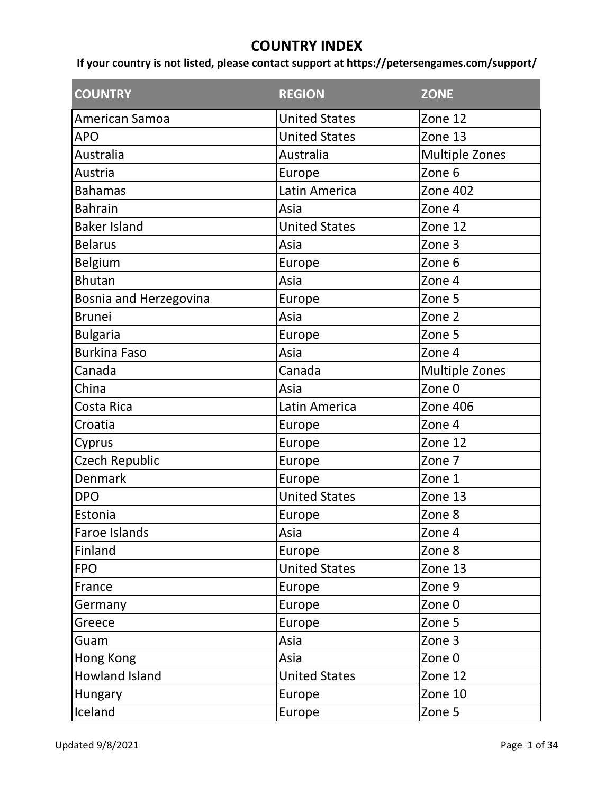## **COUNTRY INDEX**

If your country is not listed, please contact support at https://petersengames.com/support/

| <b>COUNTRY</b>         | <b>REGION</b>        | <b>ZONE</b>           |
|------------------------|----------------------|-----------------------|
| American Samoa         | <b>United States</b> | Zone 12               |
| <b>APO</b>             | <b>United States</b> | Zone 13               |
| Australia              | Australia            | <b>Multiple Zones</b> |
| Austria                | Europe               | Zone 6                |
| <b>Bahamas</b>         | Latin America        | <b>Zone 402</b>       |
| <b>Bahrain</b>         | Asia                 | Zone 4                |
| <b>Baker Island</b>    | <b>United States</b> | Zone 12               |
| <b>Belarus</b>         | Asia                 | Zone 3                |
| Belgium                | Europe               | Zone 6                |
| <b>Bhutan</b>          | Asia                 | Zone 4                |
| Bosnia and Herzegovina | Europe               | Zone 5                |
| <b>Brunei</b>          | Asia                 | Zone 2                |
| <b>Bulgaria</b>        | Europe               | Zone 5                |
| <b>Burkina Faso</b>    | Asia                 | Zone 4                |
| Canada                 | Canada               | <b>Multiple Zones</b> |
| China                  | Asia                 | Zone 0                |
| Costa Rica             | Latin America        | <b>Zone 406</b>       |
| Croatia                | Europe               | Zone 4                |
| Cyprus                 | Europe               | Zone 12               |
| Czech Republic         | Europe               | Zone 7                |
| Denmark                | Europe               | Zone 1                |
| <b>DPO</b>             | <b>United States</b> | Zone 13               |
| Estonia                | Europe               | Zone 8                |
| Faroe Islands          | Asia                 | Zone 4                |
| Finland                | Europe               | Zone 8                |
| <b>FPO</b>             | <b>United States</b> | Zone 13               |
| France                 | Europe               | Zone 9                |
| Germany                | Europe               | Zone 0                |
| Greece                 | Europe               | Zone 5                |
| Guam                   | Asia                 | Zone 3                |
| Hong Kong              | Asia                 | Zone 0                |
| Howland Island         | <b>United States</b> | Zone 12               |
| <b>Hungary</b>         | Europe               | Zone 10               |
| Iceland                | Europe               | Zone 5                |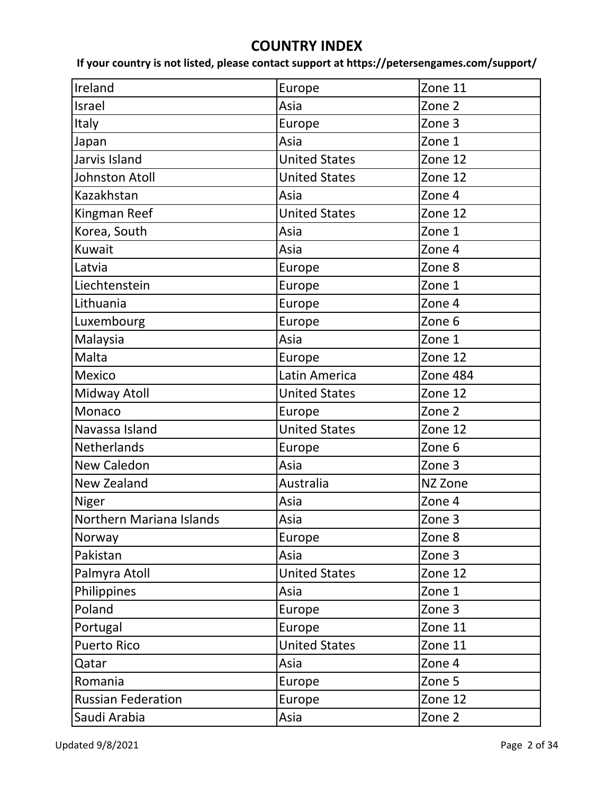## **COUNTRY INDEX**

If your country is not listed, please contact support at https://petersengames.com/support/

| Ireland                   | Europe               | Zone 11  |
|---------------------------|----------------------|----------|
| Israel                    | Asia                 | Zone 2   |
| Italy                     | Europe               | Zone 3   |
| Japan                     | Asia                 | Zone 1   |
| Jarvis Island             | <b>United States</b> | Zone 12  |
| Johnston Atoll            | <b>United States</b> | Zone 12  |
| Kazakhstan                | Asia                 | Zone 4   |
| Kingman Reef              | <b>United States</b> | Zone 12  |
| Korea, South              | Asia                 | Zone 1   |
| Kuwait                    | Asia                 | Zone 4   |
| Latvia                    | Europe               | Zone 8   |
| Liechtenstein             | Europe               | Zone 1   |
| Lithuania                 | Europe               | Zone 4   |
| Luxembourg                | Europe               | Zone 6   |
| Malaysia                  | Asia                 | Zone 1   |
| Malta                     | Europe               | Zone 12  |
| Mexico                    | Latin America        | Zone 484 |
| Midway Atoll              | <b>United States</b> | Zone 12  |
| Monaco                    | Europe               | Zone 2   |
| Navassa Island            | <b>United States</b> | Zone 12  |
| Netherlands               | Europe               | Zone 6   |
| New Caledon               | Asia                 | Zone 3   |
| New Zealand               | Australia            | NZ Zone  |
| Niger                     | Asia                 | Zone 4   |
| Northern Mariana Islands  | Asia                 | Zone 3   |
| Norway                    | Europe               | Zone 8   |
| Pakistan                  | Asia                 | Zone 3   |
| Palmyra Atoll             | <b>United States</b> | Zone 12  |
| Philippines               | Asia                 | Zone 1   |
| Poland                    | Europe               | Zone 3   |
| Portugal                  | Europe               | Zone 11  |
| <b>Puerto Rico</b>        | <b>United States</b> | Zone 11  |
| Qatar                     | Asia                 | Zone 4   |
| Romania                   | Europe               | Zone 5   |
| <b>Russian Federation</b> | Europe               | Zone 12  |
| Saudi Arabia              | Asia                 | Zone 2   |